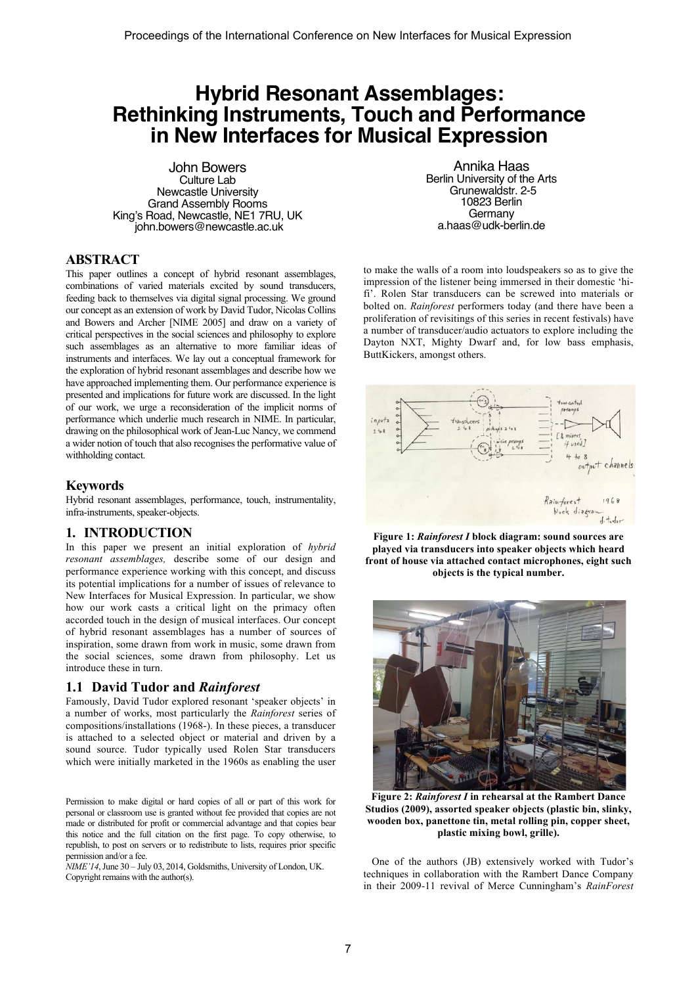# **Hybrid Resonant Assemblages: Rethinking Instruments, Touch and Performance in New Interfaces for Musical Expression**

John Bowers Culture Lab Newcastle University Grand Assembly Rooms King's Road, Newcastle, NE1 7RU, UK john.bowers@newcastle.ac.uk

## **ABSTRACT**

This paper outlines a concept of hybrid resonant assemblages, combinations of varied materials excited by sound transducers, feeding back to themselves via digital signal processing. We ground our concept as an extension of work by David Tudor, Nicolas Collins and Bowers and Archer [NIME 2005] and draw on a variety of critical perspectives in the social sciences and philosophy to explore such assemblages as an alternative to more familiar ideas of instruments and interfaces. We lay out a conceptual framework for the exploration of hybrid resonant assemblages and describe how we have approached implementing them. Our performance experience is presented and implications for future work are discussed. In the light of our work, we urge a reconsideration of the implicit norms of performance which underlie much research in NIME. In particular, drawing on the philosophical work of Jean-Luc Nancy, we commend a wider notion of touch that also recognises the performative value of withholding contact.

#### **Keywords**

Hybrid resonant assemblages, performance, touch, instrumentality, infra-instruments, speaker-objects.

#### **1. INTRODUCTION**

In this paper we present an initial exploration of *hybrid resonant assemblages,* describe some of our design and performance experience working with this concept, and discuss its potential implications for a number of issues of relevance to New Interfaces for Musical Expression. In particular, we show how our work casts a critical light on the primacy often accorded touch in the design of musical interfaces. Our concept of hybrid resonant assemblages has a number of sources of inspiration, some drawn from work in music, some drawn from the social sciences, some drawn from philosophy. Let us introduce these in turn.

#### **1.1 David Tudor and** *Rainforest*

Famously, David Tudor explored resonant 'speaker objects' in a number of works, most particularly the *Rainforest* series of compositions/installations (1968-). In these pieces, a transducer is attached to a selected object or material and driven by a sound source. Tudor typically used Rolen Star transducers which were initially marketed in the 1960s as enabling the user

Permission to make digital or hard copies of all or part of this work for personal or classroom use is granted without fee provided that copies are not made or distributed for profit or commercial advantage and that copies bear this notice and the full citation on the first page. To copy otherwise, to republish, to post on servers or to redistribute to lists, requires prior specific permission and/or a fee.

*NIME'14*, June 30 – July 03, 2014, Goldsmiths, University of London, UK. Copyright remains with the author(s).

Annika Haas Berlin University of the Arts Grunewaldstr. 2-5 10823 Berlin Germany a.haas@udk-berlin.de

to make the walls of a room into loudspeakers so as to give the impression of the listener being immersed in their domestic 'hifi'. Rolen Star transducers can be screwed into materials or bolted on. *Rainforest* performers today (and there have been a proliferation of revisitings of this series in recent festivals) have a number of transducer/audio actuators to explore including the Dayton NXT, Mighty Dwarf and, for low bass emphasis, ButtKickers, amongst others.



**Figure 1:** *Rainforest I* **block diagram: sound sources are played via transducers into speaker objects which heard front of house via attached contact microphones, eight such objects is the typical number.**



**Figure 2:** *Rainforest I* **in rehearsal at the Rambert Dance Studios (2009), assorted speaker objects (plastic bin, slinky, wooden box, panettone tin, metal rolling pin, copper sheet, plastic mixing bowl, grille).**

One of the authors (JB) extensively worked with Tudor's techniques in collaboration with the Rambert Dance Company in their 2009-11 revival of Merce Cunningham's *RainForest*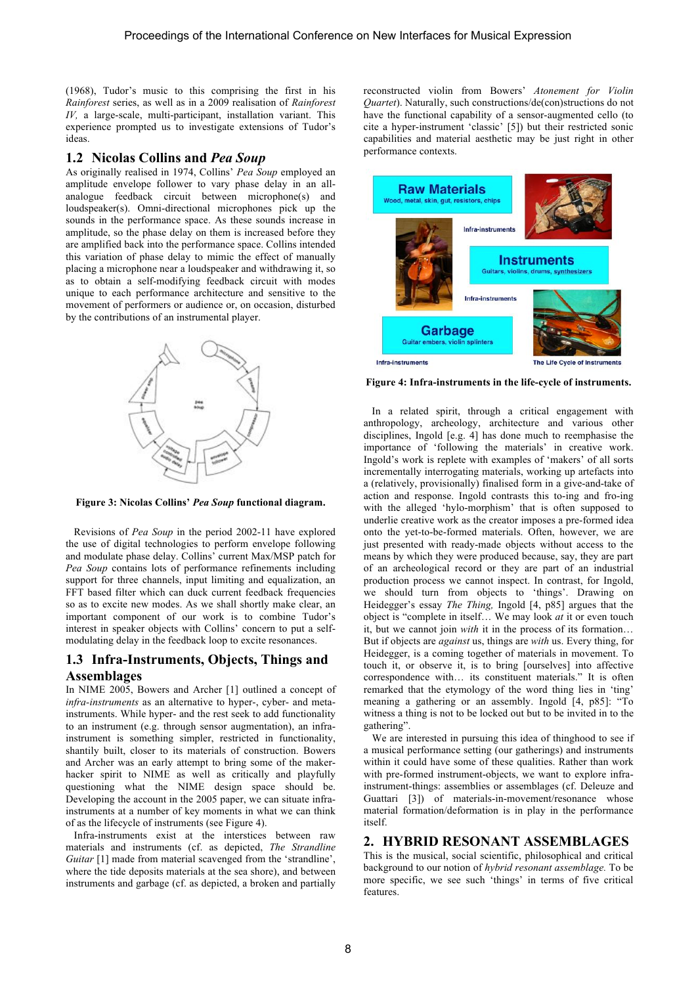(1968), Tudor's music to this comprising the first in his *Rainforest* series, as well as in a 2009 realisation of *Rainforest IV*, a large-scale, multi-participant, installation variant. This experience prompted us to investigate extensions of Tudor's ideas.

#### **1.2 Nicolas Collins and** *Pea Soup*

As originally realised in 1974, Collins' *Pea Soup* employed an amplitude envelope follower to vary phase delay in an allanalogue feedback circuit between microphone(s) and loudspeaker(s). Omni-directional microphones pick up the sounds in the performance space. As these sounds increase in amplitude, so the phase delay on them is increased before they are amplified back into the performance space. Collins intended this variation of phase delay to mimic the effect of manually placing a microphone near a loudspeaker and withdrawing it, so as to obtain a self-modifying feedback circuit with modes unique to each performance architecture and sensitive to the movement of performers or audience or, on occasion, disturbed by the contributions of an instrumental player.



**Figure 3: Nicolas Collins'** *Pea Soup* **functional diagram.**

Revisions of *Pea Soup* in the period 2002-11 have explored the use of digital technologies to perform envelope following and modulate phase delay. Collins' current Max/MSP patch for *Pea Soup* contains lots of performance refinements including support for three channels, input limiting and equalization, an FFT based filter which can duck current feedback frequencies so as to excite new modes. As we shall shortly make clear, an important component of our work is to combine Tudor's interest in speaker objects with Collins' concern to put a selfmodulating delay in the feedback loop to excite resonances.

# **1.3 Infra-Instruments, Objects, Things and Assemblages**

In NIME 2005, Bowers and Archer [1] outlined a concept of *infra-instruments* as an alternative to hyper-, cyber- and metainstruments. While hyper- and the rest seek to add functionality to an instrument (e.g. through sensor augmentation), an infrainstrument is something simpler, restricted in functionality, shantily built, closer to its materials of construction. Bowers and Archer was an early attempt to bring some of the makerhacker spirit to NIME as well as critically and playfully questioning what the NIME design space should be. Developing the account in the 2005 paper, we can situate infrainstruments at a number of key moments in what we can think of as the lifecycle of instruments (see Figure 4).

Infra-instruments exist at the interstices between raw materials and instruments (cf. as depicted, *The Strandline Guitar* [1] made from material scavenged from the 'strandline', where the tide deposits materials at the sea shore), and between instruments and garbage (cf. as depicted, a broken and partially

reconstructed violin from Bowers' *Atonement for Violin Quartet*). Naturally, such constructions/de(con)structions do not have the functional capability of a sensor-augmented cello (to cite a hyper-instrument 'classic' [5]) but their restricted sonic capabilities and material aesthetic may be just right in other performance contexts.



**Figure 4: Infra-instruments in the life-cycle of instruments.**

In a related spirit, through a critical engagement with anthropology, archeology, architecture and various other disciplines, Ingold [e.g. 4] has done much to reemphasise the importance of 'following the materials' in creative work. Ingold's work is replete with examples of 'makers' of all sorts incrementally interrogating materials, working up artefacts into a (relatively, provisionally) finalised form in a give-and-take of action and response. Ingold contrasts this to-ing and fro-ing with the alleged 'hylo-morphism' that is often supposed to underlie creative work as the creator imposes a pre-formed idea onto the yet-to-be-formed materials. Often, however, we are just presented with ready-made objects without access to the means by which they were produced because, say, they are part of an archeological record or they are part of an industrial production process we cannot inspect. In contrast, for Ingold, we should turn from objects to 'things'. Drawing on Heidegger's essay *The Thing,* Ingold [4, p85] argues that the object is "complete in itself… We may look *at* it or even touch it, but we cannot join *with* it in the process of its formation… But if objects are *against* us, things are *with* us. Every thing, for Heidegger, is a coming together of materials in movement. To touch it, or observe it, is to bring [ourselves] into affective correspondence with… its constituent materials." It is often remarked that the etymology of the word thing lies in 'ting' meaning a gathering or an assembly. Ingold [4, p85]: "To witness a thing is not to be locked out but to be invited in to the gathering".

We are interested in pursuing this idea of thinghood to see if a musical performance setting (our gatherings) and instruments within it could have some of these qualities. Rather than work with pre-formed instrument-objects, we want to explore infrainstrument-things: assemblies or assemblages (cf. Deleuze and Guattari [3]) of materials-in-movement/resonance whose material formation/deformation is in play in the performance itself.

## **2. HYBRID RESONANT ASSEMBLAGES**

This is the musical, social scientific, philosophical and critical background to our notion of *hybrid resonant assemblage.* To be more specific, we see such 'things' in terms of five critical features.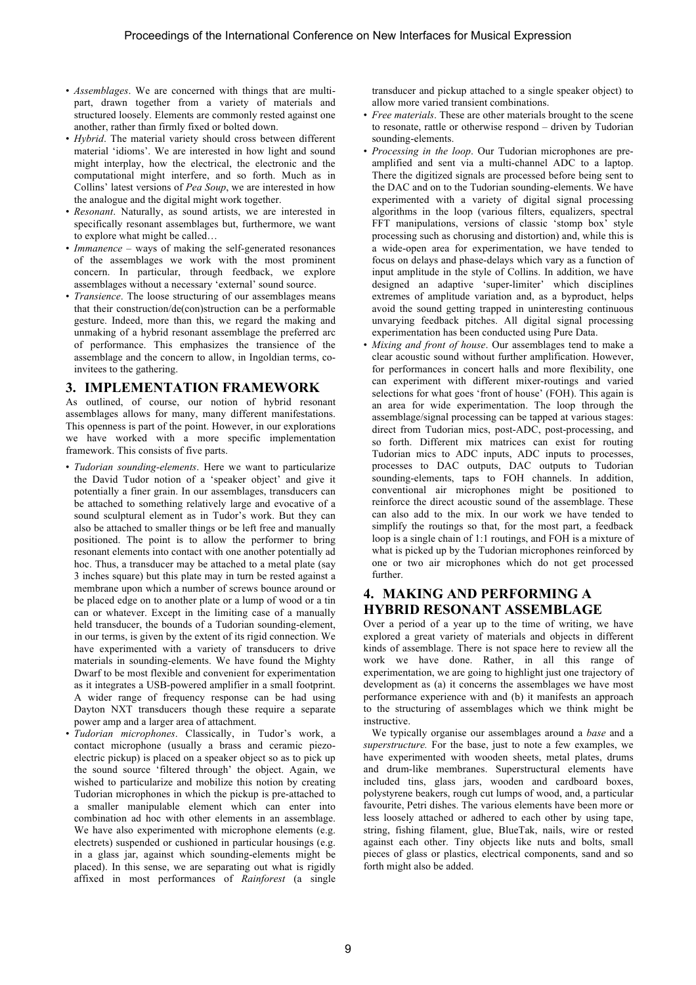- *Assemblages*. We are concerned with things that are multipart, drawn together from a variety of materials and structured loosely. Elements are commonly rested against one another, rather than firmly fixed or bolted down.
- *Hybrid*. The material variety should cross between different material 'idioms'. We are interested in how light and sound might interplay, how the electrical, the electronic and the computational might interfere, and so forth. Much as in Collins' latest versions of *Pea Soup*, we are interested in how the analogue and the digital might work together.
- *Resonant*. Naturally, as sound artists, we are interested in specifically resonant assemblages but, furthermore, we want to explore what might be called…
- *Immanence* ways of making the self-generated resonances of the assemblages we work with the most prominent concern. In particular, through feedback, we explore assemblages without a necessary 'external' sound source.
- *Transience*. The loose structuring of our assemblages means that their construction/de(con)struction can be a performable gesture. Indeed, more than this, we regard the making and unmaking of a hybrid resonant assemblage the preferred arc of performance. This emphasizes the transience of the assemblage and the concern to allow, in Ingoldian terms, coinvitees to the gathering.

#### **3. IMPLEMENTATION FRAMEWORK**

As outlined, of course, our notion of hybrid resonant assemblages allows for many, many different manifestations. This openness is part of the point. However, in our explorations we have worked with a more specific implementation framework. This consists of five parts.

- *Tudorian sounding-elements*. Here we want to particularize the David Tudor notion of a 'speaker object' and give it potentially a finer grain. In our assemblages, transducers can be attached to something relatively large and evocative of a sound sculptural element as in Tudor's work. But they can also be attached to smaller things or be left free and manually positioned. The point is to allow the performer to bring resonant elements into contact with one another potentially ad hoc. Thus, a transducer may be attached to a metal plate (say 3 inches square) but this plate may in turn be rested against a membrane upon which a number of screws bounce around or be placed edge on to another plate or a lump of wood or a tin can or whatever. Except in the limiting case of a manually held transducer, the bounds of a Tudorian sounding-element, in our terms, is given by the extent of its rigid connection. We have experimented with a variety of transducers to drive materials in sounding-elements. We have found the Mighty Dwarf to be most flexible and convenient for experimentation as it integrates a USB-powered amplifier in a small footprint. A wider range of frequency response can be had using Dayton NXT transducers though these require a separate power amp and a larger area of attachment.
- *Tudorian microphones*. Classically, in Tudor's work, a contact microphone (usually a brass and ceramic piezoelectric pickup) is placed on a speaker object so as to pick up the sound source 'filtered through' the object. Again, we wished to particularize and mobilize this notion by creating Tudorian microphones in which the pickup is pre-attached to a smaller manipulable element which can enter into combination ad hoc with other elements in an assemblage. We have also experimented with microphone elements (e.g. electrets) suspended or cushioned in particular housings (e.g. in a glass jar, against which sounding-elements might be placed). In this sense, we are separating out what is rigidly affixed in most performances of *Rainforest* (a single

transducer and pickup attached to a single speaker object) to allow more varied transient combinations.

- *Free materials*. These are other materials brought to the scene to resonate, rattle or otherwise respond – driven by Tudorian sounding-elements.
- *Processing in the loop*. Our Tudorian microphones are preamplified and sent via a multi-channel ADC to a laptop. There the digitized signals are processed before being sent to the DAC and on to the Tudorian sounding-elements. We have experimented with a variety of digital signal processing algorithms in the loop (various filters, equalizers, spectral FFT manipulations, versions of classic 'stomp box' style processing such as chorusing and distortion) and, while this is a wide-open area for experimentation, we have tended to focus on delays and phase-delays which vary as a function of input amplitude in the style of Collins. In addition, we have designed an adaptive 'super-limiter' which disciplines extremes of amplitude variation and, as a byproduct, helps avoid the sound getting trapped in uninteresting continuous unvarying feedback pitches. All digital signal processing experimentation has been conducted using Pure Data.
- *Mixing and front of house*. Our assemblages tend to make a clear acoustic sound without further amplification. However, for performances in concert halls and more flexibility, one can experiment with different mixer-routings and varied selections for what goes 'front of house' (FOH). This again is an area for wide experimentation. The loop through the assemblage/signal processing can be tapped at various stages: direct from Tudorian mics, post-ADC, post-processing, and so forth. Different mix matrices can exist for routing Tudorian mics to ADC inputs, ADC inputs to processes, processes to DAC outputs, DAC outputs to Tudorian sounding-elements, taps to FOH channels. In addition, conventional air microphones might be positioned to reinforce the direct acoustic sound of the assemblage. These can also add to the mix. In our work we have tended to simplify the routings so that, for the most part, a feedback loop is a single chain of 1:1 routings, and FOH is a mixture of what is picked up by the Tudorian microphones reinforced by one or two air microphones which do not get processed further.

# **4. MAKING AND PERFORMING A HYBRID RESONANT ASSEMBLAGE**

Over a period of a year up to the time of writing, we have explored a great variety of materials and objects in different kinds of assemblage. There is not space here to review all the work we have done. Rather, in all this range of experimentation, we are going to highlight just one trajectory of development as (a) it concerns the assemblages we have most performance experience with and (b) it manifests an approach to the structuring of assemblages which we think might be instructive.

We typically organise our assemblages around a *base* and a *superstructure.* For the base, just to note a few examples, we have experimented with wooden sheets, metal plates, drums and drum-like membranes. Superstructural elements have included tins, glass jars, wooden and cardboard boxes, polystyrene beakers, rough cut lumps of wood, and, a particular favourite, Petri dishes. The various elements have been more or less loosely attached or adhered to each other by using tape, string, fishing filament, glue, BlueTak, nails, wire or rested against each other. Tiny objects like nuts and bolts, small pieces of glass or plastics, electrical components, sand and so forth might also be added.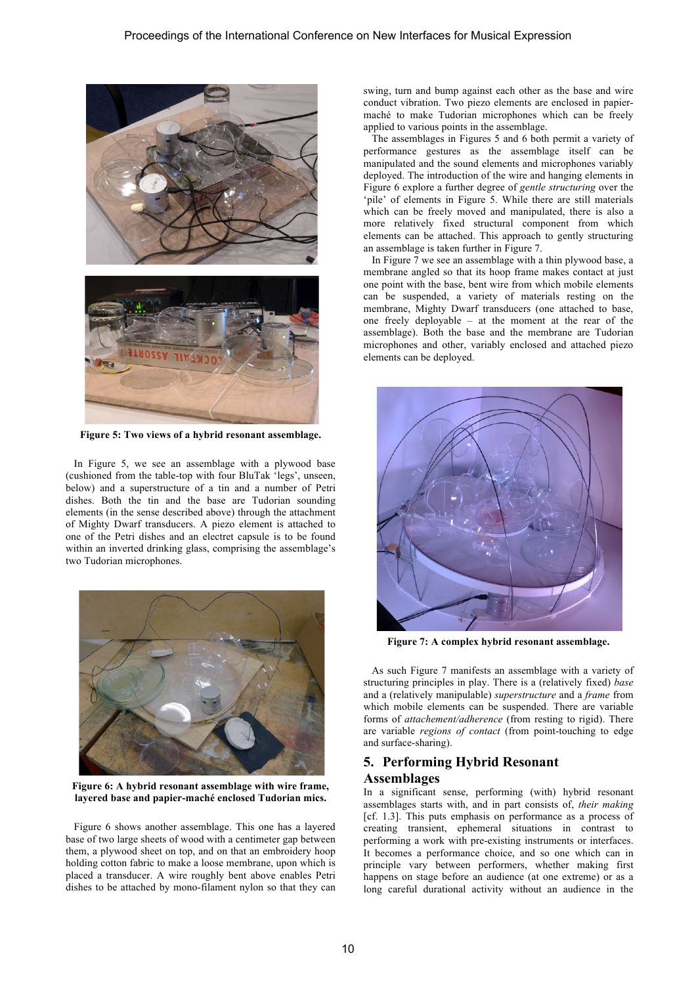

**Figure 5: Two views of a hybrid resonant assemblage.**

In Figure 5, we see an assemblage with a plywood base (cushioned from the table-top with four BluTak 'legs', unseen, below) and a superstructure of a tin and a number of Petri dishes. Both the tin and the base are Tudorian sounding elements (in the sense described above) through the attachment of Mighty Dwarf transducers. A piezo element is attached to one of the Petri dishes and an electret capsule is to be found within an inverted drinking glass, comprising the assemblage's two Tudorian microphones.



**Figure 6: A hybrid resonant assemblage with wire frame, layered base and papier-maché enclosed Tudorian mics.**

Figure 6 shows another assemblage. This one has a layered base of two large sheets of wood with a centimeter gap between them, a plywood sheet on top, and on that an embroidery hoop holding cotton fabric to make a loose membrane, upon which is placed a transducer. A wire roughly bent above enables Petri dishes to be attached by mono-filament nylon so that they can

swing, turn and bump against each other as the base and wire conduct vibration. Two piezo elements are enclosed in papiermaché to make Tudorian microphones which can be freely applied to various points in the assemblage.

The assemblages in Figures 5 and 6 both permit a variety of performance gestures as the assemblage itself can be manipulated and the sound elements and microphones variably deployed. The introduction of the wire and hanging elements in Figure 6 explore a further degree of *gentle structuring* over the 'pile' of elements in Figure 5. While there are still materials which can be freely moved and manipulated, there is also a more relatively fixed structural component from which elements can be attached. This approach to gently structuring an assemblage is taken further in Figure 7.

In Figure 7 we see an assemblage with a thin plywood base, a membrane angled so that its hoop frame makes contact at just one point with the base, bent wire from which mobile elements can be suspended, a variety of materials resting on the membrane, Mighty Dwarf transducers (one attached to base, one freely deployable – at the moment at the rear of the assemblage). Both the base and the membrane are Tudorian microphones and other, variably enclosed and attached piezo elements can be deployed.



**Figure 7: A complex hybrid resonant assemblage.**

As such Figure 7 manifests an assemblage with a variety of structuring principles in play. There is a (relatively fixed) *base* and a (relatively manipulable) *superstructure* and a *frame* from which mobile elements can be suspended. There are variable forms of *attachement/adherence* (from resting to rigid). There are variable *regions of contact* (from point-touching to edge and surface-sharing).

# **5. Performing Hybrid Resonant Assemblages**

In a significant sense, performing (with) hybrid resonant assemblages starts with, and in part consists of, *their making* [cf. 1.3]. This puts emphasis on performance as a process of creating transient, ephemeral situations in contrast to performing a work with pre-existing instruments or interfaces. It becomes a performance choice, and so one which can in principle vary between performers, whether making first happens on stage before an audience (at one extreme) or as a long careful durational activity without an audience in the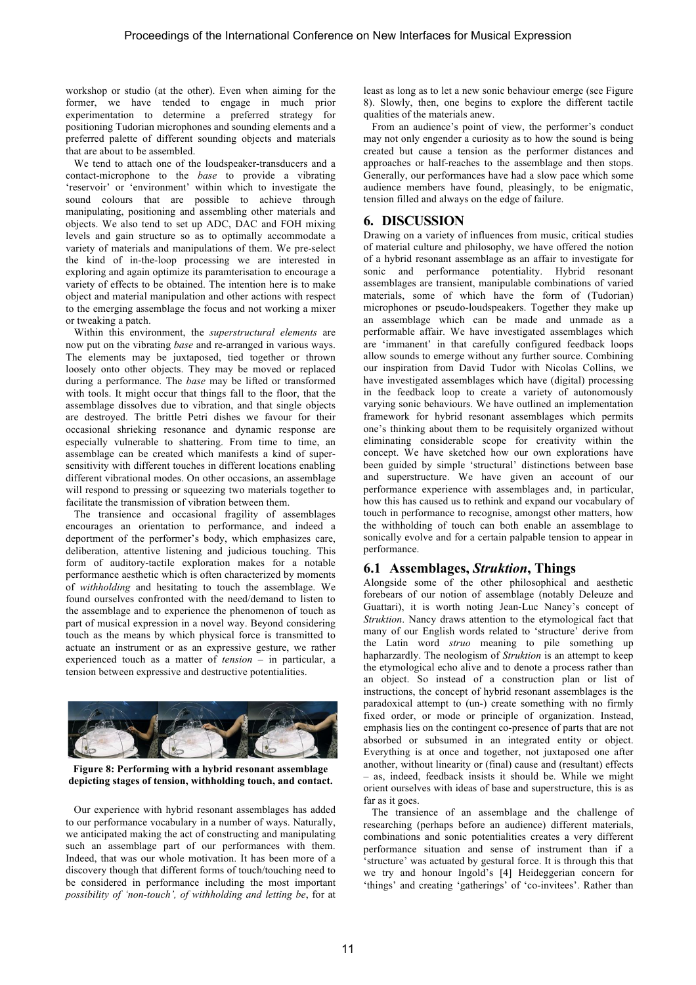workshop or studio (at the other). Even when aiming for the former, we have tended to engage in much prior experimentation to determine a preferred strategy for positioning Tudorian microphones and sounding elements and a preferred palette of different sounding objects and materials that are about to be assembled.

We tend to attach one of the loudspeaker-transducers and a contact-microphone to the *base* to provide a vibrating 'reservoir' or 'environment' within which to investigate the sound colours that are possible to achieve through manipulating, positioning and assembling other materials and objects. We also tend to set up ADC, DAC and FOH mixing levels and gain structure so as to optimally accommodate a variety of materials and manipulations of them. We pre-select the kind of in-the-loop processing we are interested in exploring and again optimize its paramterisation to encourage a variety of effects to be obtained. The intention here is to make object and material manipulation and other actions with respect to the emerging assemblage the focus and not working a mixer or tweaking a patch.

Within this environment, the *superstructural elements* are now put on the vibrating *base* and re-arranged in various ways. The elements may be juxtaposed, tied together or thrown loosely onto other objects. They may be moved or replaced during a performance. The *base* may be lifted or transformed with tools. It might occur that things fall to the floor, that the assemblage dissolves due to vibration, and that single objects are destroyed. The brittle Petri dishes we favour for their occasional shrieking resonance and dynamic response are especially vulnerable to shattering. From time to time, an assemblage can be created which manifests a kind of supersensitivity with different touches in different locations enabling different vibrational modes. On other occasions, an assemblage will respond to pressing or squeezing two materials together to facilitate the transmission of vibration between them.

The transience and occasional fragility of assemblages encourages an orientation to performance, and indeed a deportment of the performer's body, which emphasizes care, deliberation, attentive listening and judicious touching. This form of auditory-tactile exploration makes for a notable performance aesthetic which is often characterized by moments of *withholding* and hesitating to touch the assemblage. We found ourselves confronted with the need/demand to listen to the assemblage and to experience the phenomenon of touch as part of musical expression in a novel way. Beyond considering touch as the means by which physical force is transmitted to actuate an instrument or as an expressive gesture, we rather experienced touch as a matter of *tension* – in particular, a tension between expressive and destructive potentialities.



**Figure 8: Performing with a hybrid resonant assemblage depicting stages of tension, withholding touch, and contact.**

Our experience with hybrid resonant assemblages has added to our performance vocabulary in a number of ways. Naturally, we anticipated making the act of constructing and manipulating such an assemblage part of our performances with them. Indeed, that was our whole motivation. It has been more of a discovery though that different forms of touch/touching need to be considered in performance including the most important *possibility of 'non-touch', of withholding and letting be*, for at

least as long as to let a new sonic behaviour emerge (see Figure 8). Slowly, then, one begins to explore the different tactile qualities of the materials anew.

From an audience's point of view, the performer's conduct may not only engender a curiosity as to how the sound is being created but cause a tension as the performer distances and approaches or half-reaches to the assemblage and then stops. Generally, our performances have had a slow pace which some audience members have found, pleasingly, to be enigmatic, tension filled and always on the edge of failure.

## **6. DISCUSSION**

Drawing on a variety of influences from music, critical studies of material culture and philosophy, we have offered the notion of a hybrid resonant assemblage as an affair to investigate for sonic and performance potentiality. Hybrid resonant assemblages are transient, manipulable combinations of varied materials, some of which have the form of (Tudorian) microphones or pseudo-loudspeakers. Together they make up an assemblage which can be made and unmade as a performable affair. We have investigated assemblages which are 'immanent' in that carefully configured feedback loops allow sounds to emerge without any further source. Combining our inspiration from David Tudor with Nicolas Collins, we have investigated assemblages which have (digital) processing in the feedback loop to create a variety of autonomously varying sonic behaviours. We have outlined an implementation framework for hybrid resonant assemblages which permits one's thinking about them to be requisitely organized without eliminating considerable scope for creativity within the concept. We have sketched how our own explorations have been guided by simple 'structural' distinctions between base and superstructure. We have given an account of our performance experience with assemblages and, in particular, how this has caused us to rethink and expand our vocabulary of touch in performance to recognise, amongst other matters, how the withholding of touch can both enable an assemblage to sonically evolve and for a certain palpable tension to appear in performance.

## **6.1 Assemblages,** *Struktion***, Things**

Alongside some of the other philosophical and aesthetic forebears of our notion of assemblage (notably Deleuze and Guattari), it is worth noting Jean-Luc Nancy's concept of *Struktion*. Nancy draws attention to the etymological fact that many of our English words related to 'structure' derive from the Latin word *struo* meaning to pile something up hapharzardly. The neologism of *Struktion* is an attempt to keep the etymological echo alive and to denote a process rather than an object. So instead of a construction plan or list of instructions, the concept of hybrid resonant assemblages is the paradoxical attempt to (un-) create something with no firmly fixed order, or mode or principle of organization. Instead, emphasis lies on the contingent co-presence of parts that are not absorbed or subsumed in an integrated entity or object. Everything is at once and together, not juxtaposed one after another, without linearity or (final) cause and (resultant) effects – as, indeed, feedback insists it should be. While we might orient ourselves with ideas of base and superstructure, this is as far as it goes.

The transience of an assemblage and the challenge of researching (perhaps before an audience) different materials, combinations and sonic potentialities creates a very different performance situation and sense of instrument than if a 'structure' was actuated by gestural force. It is through this that we try and honour Ingold's [4] Heideggerian concern for 'things' and creating 'gatherings' of 'co-invitees'. Rather than